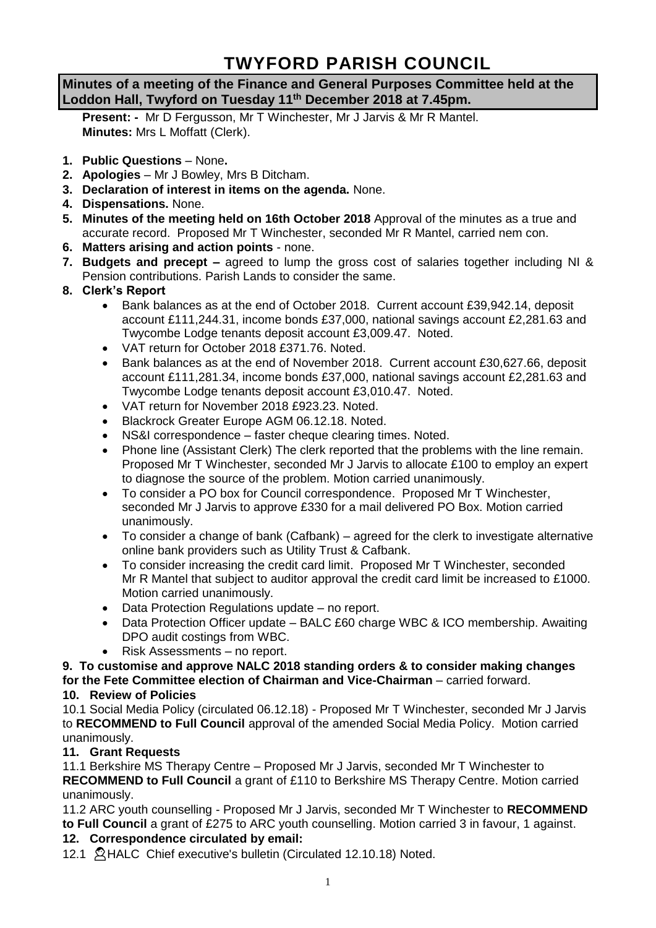# **TWYFORD PARISH COUNCIL**

# **Minutes of a meeting of the Finance and General Purposes Committee held at the Loddon Hall, Twyford on Tuesday 11th December 2018 at 7.45pm.**

**Present: -** Mr D Fergusson, Mr T Winchester, Mr J Jarvis & Mr R Mantel. **Minutes:** Mrs L Moffatt (Clerk).

- **1. Public Questions** None**.**
- **2. Apologies** Mr J Bowley, Mrs B Ditcham.
- **3. Declaration of interest in items on the agenda.** None.
- **4. Dispensations.** None.
- **5. Minutes of the meeting held on 16th October 2018** Approval of the minutes as a true and accurate record. Proposed Mr T Winchester, seconded Mr R Mantel, carried nem con.
- **6. Matters arising and action points** none.
- **7. Budgets and precept –** agreed to lump the gross cost of salaries together including NI & Pension contributions. Parish Lands to consider the same.
- **8. Clerk's Report**
	- Bank balances as at the end of October 2018. Current account £39,942.14, deposit account £111,244.31, income bonds £37,000, national savings account £2,281.63 and Twycombe Lodge tenants deposit account £3,009.47. Noted.
	- VAT return for October 2018 £371.76. Noted.
	- Bank balances as at the end of November 2018. Current account £30,627.66, deposit account £111,281.34, income bonds £37,000, national savings account £2,281.63 and Twycombe Lodge tenants deposit account £3,010.47. Noted.
	- VAT return for November 2018 £923.23. Noted.
	- Blackrock Greater Europe AGM 06.12.18. Noted.
	- NS&I correspondence faster cheque clearing times. Noted.
	- Phone line (Assistant Clerk) The clerk reported that the problems with the line remain. Proposed Mr T Winchester, seconded Mr J Jarvis to allocate £100 to employ an expert to diagnose the source of the problem. Motion carried unanimously.
	- To consider a PO box for Council correspondence. Proposed Mr T Winchester, seconded Mr J Jarvis to approve £330 for a mail delivered PO Box. Motion carried unanimously.
	- To consider a change of bank (Cafbank) agreed for the clerk to investigate alternative online bank providers such as Utility Trust & Cafbank.
	- To consider increasing the credit card limit. Proposed Mr T Winchester, seconded Mr R Mantel that subject to auditor approval the credit card limit be increased to £1000. Motion carried unanimously.
	- Data Protection Regulations update no report.
	- Data Protection Officer update BALC £60 charge WBC & ICO membership. Awaiting DPO audit costings from WBC.
	- Risk Assessments no report.

#### **9. To customise and approve NALC 2018 standing orders & to consider making changes for the Fete Committee election of Chairman and Vice-Chairman** – carried forward. **10. Review of Policies**

10.1 Social Media Policy (circulated 06.12.18) - Proposed Mr T Winchester, seconded Mr J Jarvis to **RECOMMEND to Full Council** approval of the amended Social Media Policy. Motion carried unanimously.

# **11. Grant Requests**

11.1 Berkshire MS Therapy Centre – Proposed Mr J Jarvis, seconded Mr T Winchester to **RECOMMEND to Full Council** a grant of £110 to Berkshire MS Therapy Centre. Motion carried unanimously.

11.2 ARC youth counselling - Proposed Mr J Jarvis, seconded Mr T Winchester to **RECOMMEND to Full Council** a grant of £275 to ARC youth counselling. Motion carried 3 in favour, 1 against.

# **12. Correspondence circulated by email:**

12.1 A HALC Chief executive's bulletin (Circulated 12.10.18) Noted.